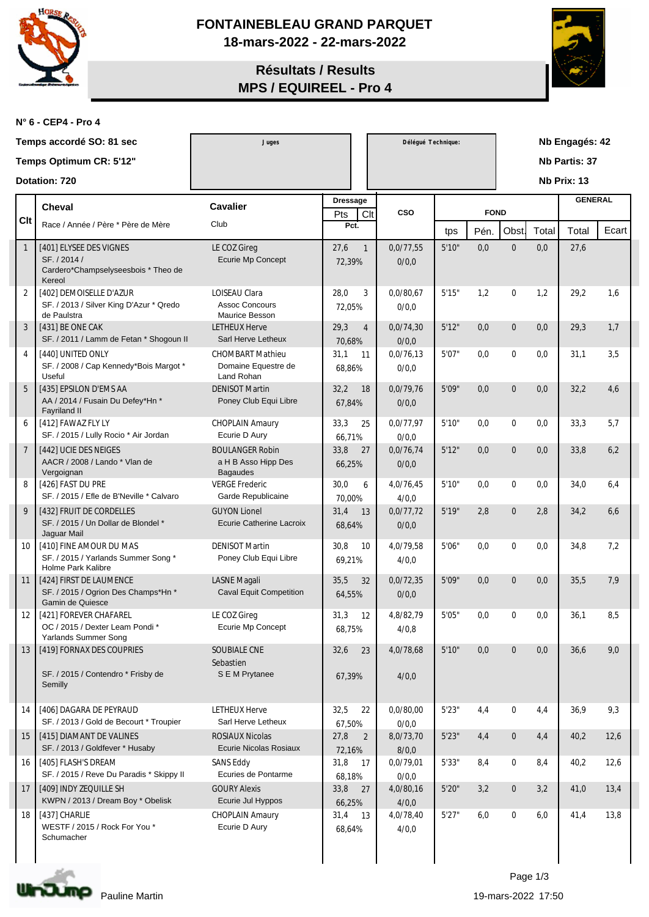

**FONTAINEBLEAU GRAND PARQUET 18-mars-2022 - 22-mars-2022**

## **Résultats / Results MPS / EQUIREEL - Pro 4**



**N° 6 - CEP4 - Pro 4**

|                  | Temps accordé SO: 81 sec                                                                 | Juges                                                            |                      |                | Délégué Technique: |             |      | Nb Engagés: 42   |             |                |       |  |
|------------------|------------------------------------------------------------------------------------------|------------------------------------------------------------------|----------------------|----------------|--------------------|-------------|------|------------------|-------------|----------------|-------|--|
|                  | Temps Optimum CR: 5'12"                                                                  |                                                                  |                      |                |                    |             |      | Nb Partis: 37    |             |                |       |  |
|                  | Dotation: 720                                                                            |                                                                  |                      |                |                    |             |      |                  | Nb Prix: 13 |                |       |  |
|                  | <b>Cheval</b>                                                                            | <b>Cavalier</b>                                                  | <b>Dressage</b>      |                |                    |             |      |                  |             | <b>GENERAL</b> |       |  |
| <b>Clt</b>       | Race / Année / Père * Père de Mère                                                       | Club                                                             | Pts<br>Pct.          | Clt            | <b>CSO</b>         | <b>FOND</b> |      |                  |             |                |       |  |
|                  |                                                                                          |                                                                  |                      |                |                    | tps         | Pén. | Obst.            | Total       | Total          | Ecart |  |
| $\mathbf{1}$     | [401] ELYSEE DES VIGNES<br>SF. / 2014 /<br>Cardero*Champselyseesbois * Theo de<br>Kereol | LE COZ Gireg<br><b>Ecurie Mp Concept</b>                         | 27,6<br>72,39%       | $\overline{1}$ | 0.0/77.55<br>0/0,0 | 5'10"       | 0,0  | $\mathbf{0}$     | 0,0         | 27,6           |       |  |
| $\boldsymbol{2}$ | [402] DEMOISELLE D'AZUR<br>SF. / 2013 / Silver King D'Azur * Qredo<br>de Paulstra        | <b>LOISEAU Clara</b><br><b>Assoc Concours</b><br>Maurice Besson  | 28,0<br>72,05%       | 3              | 0.0/80.67<br>0/0.0 | 5'15''      | 1,2  | $\mathbf{0}$     | 1,2         | 29,2           | 1,6   |  |
| 3                | [431] BE ONE CAK<br>SF. / 2011 / Lamm de Fetan * Shogoun II                              | <b>LETHEUX Herve</b><br>Sarl Herve Letheux                       | 29,3<br>70.68%       | $\overline{4}$ | 0.0/74.30<br>0/0,0 | 5'12"       | 0,0  | $\mathbf{0}$     | 0,0         | 29,3           | 1,7   |  |
| $\overline{4}$   | [440] UNITED ONLY<br>SF. / 2008 / Cap Kennedy*Bois Margot *<br>Useful                    | <b>CHOMBART Mathieu</b><br>Domaine Equestre de<br>Land Rohan     | 31,1<br>68,86%       | 11             | 0.0/76.13<br>0/0,0 | 5'07"       | 0,0  | $\mathbf{0}$     | 0,0         | 31,1           | 3,5   |  |
| $\overline{5}$   | [435] EPSILON D'EMS AA<br>AA / 2014 / Fusain Du Defey*Hn *<br><b>Fayriland II</b>        | <b>DENISOT Martin</b><br>Poney Club Equi Libre                   | 32,2<br>67,84%       | 18             | 0.0/79.76<br>0/0,0 | 5'09"       | 0,0  | $\mathbf{0}$     | 0,0         | 32,2           | 4,6   |  |
| 6                | [412] FAWAZ FLY LY<br>SF. / 2015 / Lully Rocio * Air Jordan                              | <b>CHOPLAIN Amaury</b><br>Ecurie D Aury                          | 33,3<br>66,71%       | 25             | 0.0/77.97<br>0/0.0 | 5'10"       | 0,0  | $\boldsymbol{0}$ | 0,0         | 33,3           | 5,7   |  |
| $\overline{7}$   | [442] UCIE DES NEIGES<br>AACR / 2008 / Lando * Vlan de<br>Vergoignan                     | <b>BOULANGER Robin</b><br>a H B Asso Hipp Des<br><b>Bagaudes</b> | 33,8<br>66,25%       | 27             | 0,0/76,74<br>0/0,0 | 5'12"       | 0,0  | $\mathbf{0}$     | 0,0         | 33,8           | 6,2   |  |
| 8                | [426] FAST DU PRE<br>SF. / 2015 / Efle de B'Neville * Calvaro                            | <b>VERGE Frederic</b><br>Garde Republicaine                      | 30,0<br>70.00%       | 6              | 4,0/76,45<br>4/0,0 | 5'10"       | 0,0  | $\bf{0}$         | 0,0         | 34,0           | 6,4   |  |
| 9                | [432] FRUIT DE CORDELLES<br>SF. / 2015 / Un Dollar de Blondel *<br>Jaguar Mail           | <b>GUYON</b> Lionel<br>Ecurie Catherine Lacroix                  | 31,4<br>68,64%       | 13             | 0.0/77.72<br>0/0,0 | 5'19''      | 2,8  | $\mathbf{0}$     | 2,8         | 34,2           | 6,6   |  |
| 10               | [410] FINE AMOUR DU MAS<br>SF. / 2015 / Yarlands Summer Song *<br>Holme Park Kalibre     | <b>DENISOT Martin</b><br>Poney Club Equi Libre                   | 30,8<br>69,21%       | 10             | 4,0/79,58<br>4/0,0 | 5'06"       | 0,0  | $\bf{0}$         | 0,0         | 34,8           | 7,2   |  |
| 11               | [424] FIRST DE LAUMENCE<br>SF. / 2015 / Ogrion Des Champs*Hn *<br>Gamin de Quiesce       | <b>LASNE</b> Magali<br><b>Caval Equit Competition</b>            | 35,5<br>64,55%       | 32             | 0.0/72.35<br>0/0,0 | 5'09"       | 0,0  | $\mathbf{0}$     | 0,0         | 35,5           | 7,9   |  |
| 12               | [421] FOREVER CHAFAREL<br>OC / 2015 / Dexter Leam Pondi*<br>Yarlands Summer Song         | LE COZ Gireg<br>Ecurie Mp Concept                                | 31,3<br>68,75%       | $12\,$         | 4,8/82,79<br>4/0,8 | 5'05"       | 0,0  | $\bf{0}$         | 0,0         | 36,1           | 8,5   |  |
| 13               | [419] FORNAX DES COUPRIES<br>SF. / 2015 / Contendro * Frisby de<br>Semilly               | SOUBIALE CNE<br>Sebastien<br>S E M Prytanee                      | 32,6<br>67,39%       | 23             | 4,0/78,68<br>4/0,0 | 5'10"       | 0,0  | $\Omega$         | 0,0         | 36,6           | 9,0   |  |
| 14               | [406] DAGARA DE PEYRAUD<br>SF. / 2013 / Gold de Becourt * Troupier                       | <b>LETHEUX Herve</b><br>Sarl Herve Letheux                       | 32,5<br>67,50%       | 22             | 0,0/80,00<br>0/0,0 | 5'23"       | 4,4  | $\boldsymbol{0}$ | 4,4         | 36,9           | 9,3   |  |
| 15               | [415] DIAMANT DE VALINES<br>SF. / 2013 / Goldfever * Husaby                              | <b>ROSIAUX Nicolas</b><br>Ecurie Nicolas Rosiaux                 | 27,8<br>72,16%       | $\overline{2}$ | 8,0/73,70<br>8/0,0 | 5'23"       | 4,4  | $\mathbf{0}$     | 4,4         | 40,2           | 12,6  |  |
| 16               | [405] FLASH'S DREAM<br>SF. / 2015 / Reve Du Paradis * Skippy II                          | <b>SANS Eddy</b><br>Ecuries de Pontarme                          | 31,8<br>17<br>68,18% |                | 0,0/79,01<br>0/0,0 | 5'33"       | 8,4  | $\bf{0}$         | 8,4         | 40,2           | 12,6  |  |
| 17               | [409] INDY ZEQUILLE SH<br>KWPN / 2013 / Dream Boy * Obelisk                              | <b>GOURY Alexis</b><br>Ecurie Jul Hyppos                         | 33,8<br>27<br>66,25% |                | 4,0/80,16<br>4/0,0 | 5'20"       | 3,2  | $\boldsymbol{0}$ | 3,2         | 41,0           | 13,4  |  |
| 18               | [437] CHARLIE<br>WESTF / 2015 / Rock For You *<br>Schumacher                             | <b>CHOPLAIN Amaury</b><br>Ecurie D Aury                          | 31,4 13<br>68,64%    |                | 4,0/78,40<br>4/0,0 | 5'27"       | 6,0  | $\bf{0}$         | 6,0         | 41,4           | 13,8  |  |



Page 1/3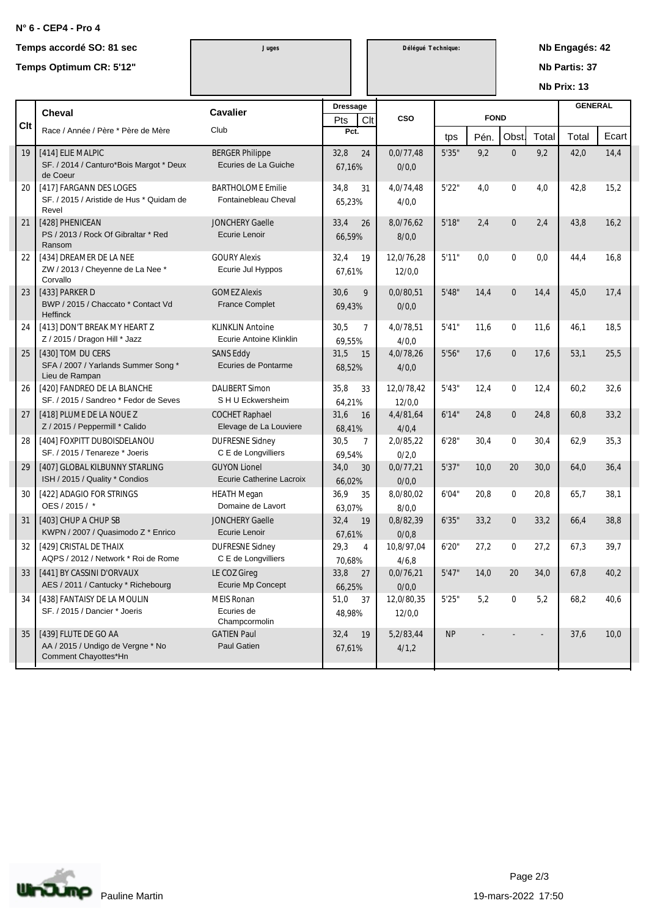## **N° 6 - CEP4 - Pro 4**

|     | Temps accordé SO: 81 sec<br>Temps Optimum CR: 5'12"                               | Juges                                                  |                    |                | Délégué Technique:   |        |             | Nb Engagés: 42<br><b>Nb Partis: 37</b><br>Nb Prix: 13 |       |                |       |  |
|-----|-----------------------------------------------------------------------------------|--------------------------------------------------------|--------------------|----------------|----------------------|--------|-------------|-------------------------------------------------------|-------|----------------|-------|--|
|     | <b>Cheval</b>                                                                     | <b>Cavalier</b>                                        | <b>Dressage</b>    |                | CSO                  |        | <b>FOND</b> |                                                       |       | <b>GENERAL</b> |       |  |
| Clt | Race / Année / Père * Père de Mère                                                | Club                                                   | Pts<br>Clt<br>Pct. |                |                      | tps    | Pén.        | Obst                                                  | Total | Total          | Ecart |  |
| 19  | [414] ELIE MALPIC<br>SF. / 2014 / Canturo*Bois Margot * Deux<br>de Coeur          | <b>BERGER Philippe</b><br>Ecuries de La Guiche         | 32,8<br>67,16%     | 24             | 0.0/77.48<br>0/0,0   | 5'35"  | 9,2         | $\mathbf{0}$                                          | 9,2   | 42,0           | 14,4  |  |
| 20  | [417] FARGANN DES LOGES<br>SF. / 2015 / Aristide de Hus * Quidam de<br>Revel      | <b>BARTHOLOME Emilie</b><br>Fontainebleau Cheval       | 34,8<br>65,23%     | 31             | 4,0/74,48<br>4/0,0   | 5'22"  | 4,0         | $\mathbf{0}$                                          | 4,0   | 42,8           | 15,2  |  |
| 21  | [428] PHENICEAN<br>PS / 2013 / Rock Of Gibraltar * Red<br>Ransom                  | <b>JONCHERY Gaelle</b><br>Ecurie Lenoir                | 33,4<br>66,59%     | 26             | 8,0/76,62<br>8/0,0   | 5'18"  | 2.4         | $\mathbf{0}$                                          | 2.4   | 43,8           | 16,2  |  |
| 22  | [434] DREAMER DE LA NEE<br>ZW / 2013 / Cheyenne de La Nee *<br>Corvallo           | <b>GOURY Alexis</b><br>Ecurie Jul Hyppos               | 32,4<br>67,61%     | 19             | 12,0/76,28<br>12/0,0 | 5'11"  | 0,0         | $\mathbf{0}$                                          | 0,0   | 44,4           | 16,8  |  |
| 23  | [433] PARKER D<br>BWP / 2015 / Chaccato * Contact Vd<br><b>Heffinck</b>           | <b>GOMEZ Alexis</b><br><b>France Complet</b>           | 30,6<br>69,43%     | 9              | 0.0/80.51<br>0/0,0   | 5'48"  | 14,4        | $\mathbf{0}$                                          | 14,4  | 45,0           | 17,4  |  |
| 24  | [413] DON'T BREAK MY HEART Z<br>Z / 2015 / Dragon Hill * Jazz                     | <b>KLINKLIN Antoine</b><br>Ecurie Antoine Klinklin     | 30,5<br>69,55%     | $\overline{7}$ | 4,0/78,51<br>4/0,0   | 5'41"  | 11,6        | $\mathbf{0}$                                          | 11,6  | 46,1           | 18,5  |  |
| 25  | [430] TOM DU CERS<br>SFA / 2007 / Yarlands Summer Song *<br>Lieu de Rampan        | <b>SANS Eddy</b><br>Ecuries de Pontarme                | 31,5<br>68,52%     | 15             | 4,0/78,26<br>4/0,0   | 5'56"  | 17,6        | $\mathbf{0}$                                          | 17,6  | 53,1           | 25,5  |  |
| 26  | [420] FANDREO DE LA BLANCHE<br>SF. / 2015 / Sandreo * Fedor de Seves              | <b>DALIBERT Simon</b><br>S H U Eckwersheim             | 35,8<br>64,21%     | 33             | 12,0/78,42<br>12/0,0 | 5'43"  | 12,4        | $\mathbf{0}$                                          | 12,4  | 60,2           | 32,6  |  |
| 27  | [418] PLUME DE LA NOUE Z<br>Z / 2015 / Peppermill * Calido                        | <b>COCHET Raphael</b><br>Elevage de La Louviere        | 31,6<br>68.41%     | <sup>16</sup>  | 4,4/81,64<br>4/0,4   | 6'14"  | 24,8        | $\bf{0}$                                              | 24,8  | 60,8           | 33,2  |  |
| 28  | [404] FOXPITT DUBOISDELANOU<br>SF. / 2015 / Tenareze * Joeris                     | <b>DUFRESNE Sidney</b><br>C E de Longvilliers          | 30,5<br>69.54%     | $\overline{7}$ | 2,0/85,22<br>0/2,0   | 6'28'' | 30,4        | $\bf{0}$                                              | 30,4  | 62,9           | 35,3  |  |
| 29  | [407] GLOBAL KILBUNNY STARLING<br>ISH / 2015 / Quality * Condios                  | <b>GUYON</b> Lionel<br><b>Ecurie Catherine Lacroix</b> | 34,0<br>66.02%     | 30             | 0,0/77,21<br>0/0,0   | 5'37"  | 10,0        | 20                                                    | 30,0  | 64,0           | 36,4  |  |
| 30  | [422] ADAGIO FOR STRINGS<br>OES / 2015 / *                                        | <b>HEATH Megan</b><br>Domaine de Lavort                | 36,9<br>63,07%     | 35             | 8,0/80,02<br>8/0,0   | 6'04"  | 20,8        | $\mathbf{0}$                                          | 20,8  | 65,7           | 38,1  |  |
| 31  | [403] CHUP A CHUP SB<br>KWPN / 2007 / Quasimodo Z * Enrico                        | <b>JONCHERY Gaelle</b><br>Ecurie Lenoir                | 32,4<br>67,61%     | 19             | 0,8/82,39<br>0/0,8   | 6'35"  | 33,2        | $\mathbf{0}$                                          | 33,2  | 66,4           | 38,8  |  |
| 32  | [429] CRISTAL DE THAIX<br>AQPS / 2012 / Network * Roi de Rome                     | <b>DUFRESNE Sidney</b><br>C E de Longvilliers          | 29,3<br>70,68%     | $\overline{4}$ | 10,8/97,04<br>4/6,8  | 6'20'' | 27,2        | $\bf{0}$                                              | 27,2  | 67,3           | 39,7  |  |
| 33  | [441] BY CASSINI D'ORVAUX<br>AES / 2011 / Cantucky * Richebourg                   | LE COZ Gireg<br>Ecurie Mp Concept                      | 33,8 27<br>66,25%  |                | 0,0/76,21<br>0/0,0   | 5'47"  | 14,0        | $20\,$                                                | 34,0  | 67,8           | 40,2  |  |
| 34  | [438] FANTAISY DE LA MOULIN<br>SF. / 2015 / Dancier * Joeris                      | MEIS Ronan<br>Ecuries de<br>Champcormolin              | 51,0<br>48,98%     | 37             | 12,0/80,35<br>12/0,0 | 5'25"  | 5,2         | $\bf{0}$                                              | 5,2   | 68,2           | 40,6  |  |
| 35  | [439] FLUTE DE GO AA<br>AA / 2015 / Undigo de Vergne * No<br>Comment Chayottes*Hn | <b>GATIEN Paul</b><br>Paul Gatien                      | 32,4<br>67,61%     | 19             | 5,2/83,44<br>4/1,2   | NP     |             |                                                       |       | 37,6           | 10,0  |  |